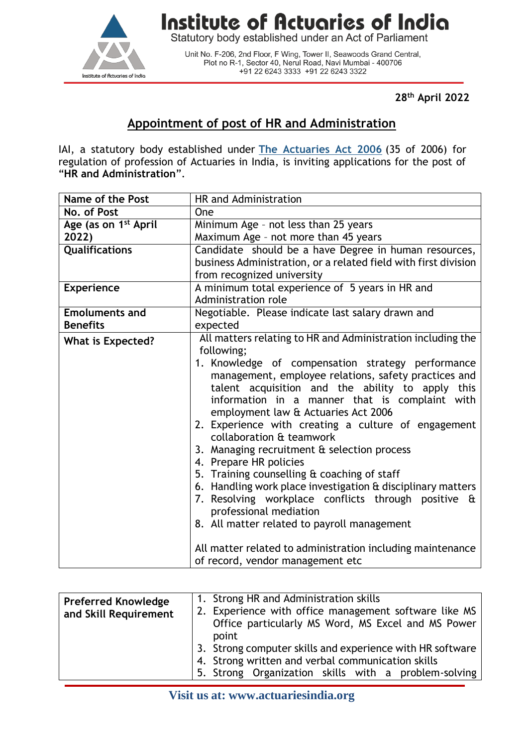

## **Institute of Actuaries of India**

Statutory body established under an Act of Parliament

Unit No. F-206, 2nd Floor, F Wing, Tower II, Seawoods Grand Central,<br>Plot no R-1, Sector 40, Nerul Road, Navi Mumbai - 400706 +91 22 6243 3333 +91 22 6243 3322

**28th April 2022**

## **Appointment of post of HR and Administration**

IAI, a statutory body established under **[The Actuaries Act 2006](http://www.actuariesindia.org/guidance/scanned%20GN.pdf)** (35 of 2006) for regulation of profession of Actuaries in India, is inviting applications for the post of "**HR and Administration**".

| Name of the Post                 | HR and Administration                                                                 |
|----------------------------------|---------------------------------------------------------------------------------------|
| No. of Post                      | One                                                                                   |
| Age (as on 1 <sup>st</sup> April | Minimum Age - not less than 25 years                                                  |
| 2022)                            | Maximum Age - not more than 45 years                                                  |
| <b>Qualifications</b>            | Candidate should be a have Degree in human resources,                                 |
|                                  | business Administration, or a related field with first division                       |
|                                  | from recognized university                                                            |
| <b>Experience</b>                | A minimum total experience of 5 years in HR and                                       |
|                                  | Administration role                                                                   |
| <b>Emoluments and</b>            | Negotiable. Please indicate last salary drawn and                                     |
| <b>Benefits</b>                  | expected                                                                              |
| <b>What is Expected?</b>         | All matters relating to HR and Administration including the                           |
|                                  | following;                                                                            |
|                                  | 1. Knowledge of compensation strategy performance                                     |
|                                  | management, employee relations, safety practices and                                  |
|                                  | talent acquisition and the ability to apply this                                      |
|                                  | information in a manner that is complaint with<br>employment law & Actuaries Act 2006 |
|                                  |                                                                                       |
|                                  | 2. Experience with creating a culture of engagement<br>collaboration & teamwork       |
|                                  | 3. Managing recruitment & selection process                                           |
|                                  | 4. Prepare HR policies                                                                |
|                                  | 5. Training counselling & coaching of staff                                           |
|                                  | 6. Handling work place investigation & disciplinary matters                           |
|                                  | 7. Resolving workplace conflicts through positive &                                   |
|                                  | professional mediation                                                                |
|                                  | 8. All matter related to payroll management                                           |
|                                  |                                                                                       |
|                                  | All matter related to administration including maintenance                            |
|                                  | of record, vendor management etc                                                      |

| <b>Preferred Knowledge</b><br>and Skill Requirement | 1. Strong HR and Administration skills<br>2. Experience with office management software like MS<br>Office particularly MS Word, MS Excel and MS Power<br>point |
|-----------------------------------------------------|----------------------------------------------------------------------------------------------------------------------------------------------------------------|
|                                                     | 3. Strong computer skills and experience with HR software                                                                                                      |
|                                                     | 4. Strong written and verbal communication skills                                                                                                              |
|                                                     | 5. Strong Organization skills with a problem-solving                                                                                                           |